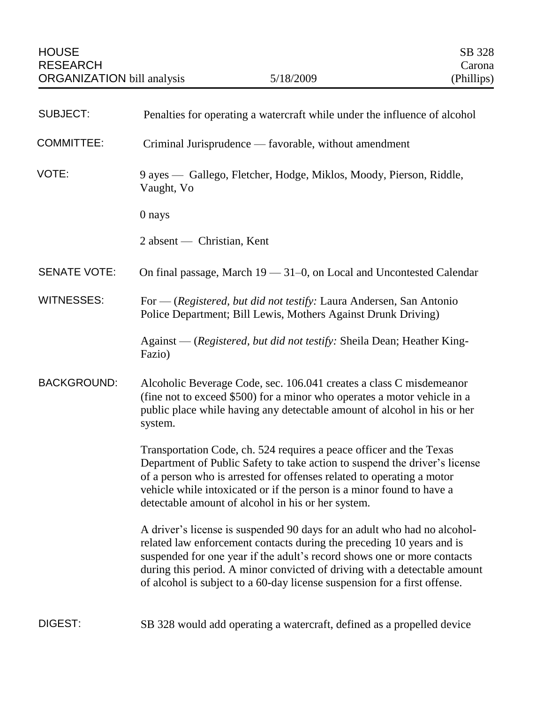| <b>SUBJECT:</b>     | Penalties for operating a watercraft while under the influence of alcohol                                                                                                                                                                                                                                                                                                              |
|---------------------|----------------------------------------------------------------------------------------------------------------------------------------------------------------------------------------------------------------------------------------------------------------------------------------------------------------------------------------------------------------------------------------|
| <b>COMMITTEE:</b>   | Criminal Jurisprudence — favorable, without amendment                                                                                                                                                                                                                                                                                                                                  |
| VOTE:               | 9 ayes — Gallego, Fletcher, Hodge, Miklos, Moody, Pierson, Riddle,<br>Vaught, Vo                                                                                                                                                                                                                                                                                                       |
|                     | 0 nays                                                                                                                                                                                                                                                                                                                                                                                 |
|                     | 2 absent — Christian, Kent                                                                                                                                                                                                                                                                                                                                                             |
| <b>SENATE VOTE:</b> | On final passage, March $19 - 31 - 0$ , on Local and Uncontested Calendar                                                                                                                                                                                                                                                                                                              |
| <b>WITNESSES:</b>   | For — (Registered, but did not testify: Laura Andersen, San Antonio<br>Police Department; Bill Lewis, Mothers Against Drunk Driving)                                                                                                                                                                                                                                                   |
|                     | Against — (Registered, but did not testify: Sheila Dean; Heather King-<br>Fazio)                                                                                                                                                                                                                                                                                                       |
| <b>BACKGROUND:</b>  | Alcoholic Beverage Code, sec. 106.041 creates a class C misdemeanor<br>(fine not to exceed \$500) for a minor who operates a motor vehicle in a<br>public place while having any detectable amount of alcohol in his or her<br>system.                                                                                                                                                 |
|                     | Transportation Code, ch. 524 requires a peace officer and the Texas<br>Department of Public Safety to take action to suspend the driver's license<br>of a person who is arrested for offenses related to operating a motor<br>vehicle while intoxicated or if the person is a minor found to have a<br>detectable amount of alcohol in his or her system.                              |
|                     | A driver's license is suspended 90 days for an adult who had no alcohol-<br>related law enforcement contacts during the preceding 10 years and is<br>suspended for one year if the adult's record shows one or more contacts<br>during this period. A minor convicted of driving with a detectable amount<br>of alcohol is subject to a 60-day license suspension for a first offense. |
| <b>DIGEST:</b>      | SB 328 would add operating a watercraft, defined as a propelled device                                                                                                                                                                                                                                                                                                                 |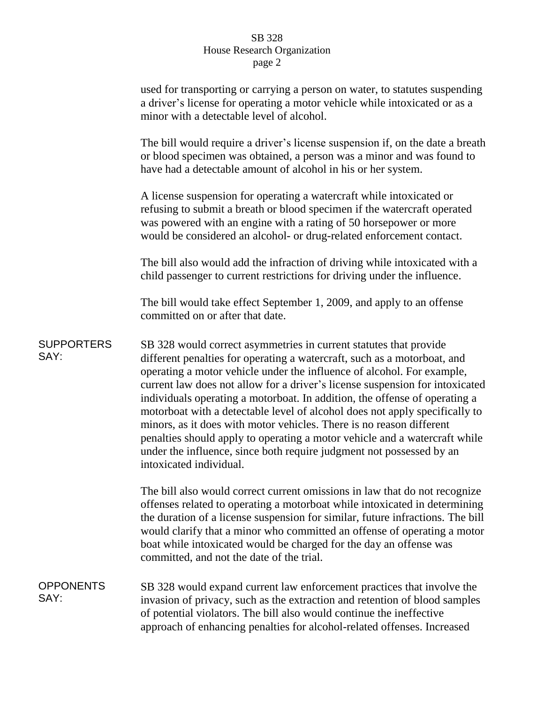## SB 328 House Research Organization page 2

|                           | used for transporting or carrying a person on water, to statutes suspending<br>a driver's license for operating a motor vehicle while intoxicated or as a<br>minor with a detectable level of alcohol.                                                                                                                                                                                                                                                                                                                                                                                                                                                                                                                        |
|---------------------------|-------------------------------------------------------------------------------------------------------------------------------------------------------------------------------------------------------------------------------------------------------------------------------------------------------------------------------------------------------------------------------------------------------------------------------------------------------------------------------------------------------------------------------------------------------------------------------------------------------------------------------------------------------------------------------------------------------------------------------|
|                           | The bill would require a driver's license suspension if, on the date a breath<br>or blood specimen was obtained, a person was a minor and was found to<br>have had a detectable amount of alcohol in his or her system.                                                                                                                                                                                                                                                                                                                                                                                                                                                                                                       |
|                           | A license suspension for operating a watercraft while intoxicated or<br>refusing to submit a breath or blood specimen if the watercraft operated<br>was powered with an engine with a rating of 50 horsepower or more<br>would be considered an alcohol- or drug-related enforcement contact.                                                                                                                                                                                                                                                                                                                                                                                                                                 |
|                           | The bill also would add the infraction of driving while intoxicated with a<br>child passenger to current restrictions for driving under the influence.                                                                                                                                                                                                                                                                                                                                                                                                                                                                                                                                                                        |
|                           | The bill would take effect September 1, 2009, and apply to an offense<br>committed on or after that date.                                                                                                                                                                                                                                                                                                                                                                                                                                                                                                                                                                                                                     |
| <b>SUPPORTERS</b><br>SAY: | SB 328 would correct asymmetries in current statutes that provide<br>different penalties for operating a watercraft, such as a motorboat, and<br>operating a motor vehicle under the influence of alcohol. For example,<br>current law does not allow for a driver's license suspension for intoxicated<br>individuals operating a motorboat. In addition, the offense of operating a<br>motorboat with a detectable level of alcohol does not apply specifically to<br>minors, as it does with motor vehicles. There is no reason different<br>penalties should apply to operating a motor vehicle and a watercraft while<br>under the influence, since both require judgment not possessed by an<br>intoxicated individual. |
|                           | The bill also would correct current omissions in law that do not recognize<br>offenses related to operating a motorboat while intoxicated in determining<br>the duration of a license suspension for similar, future infractions. The bill<br>would clarify that a minor who committed an offense of operating a motor<br>boat while intoxicated would be charged for the day an offense was<br>committed, and not the date of the trial.                                                                                                                                                                                                                                                                                     |
| <b>OPPONENTS</b><br>SAY:  | SB 328 would expand current law enforcement practices that involve the<br>invasion of privacy, such as the extraction and retention of blood samples<br>of potential violators. The bill also would continue the ineffective<br>approach of enhancing penalties for alcohol-related offenses. Increased                                                                                                                                                                                                                                                                                                                                                                                                                       |